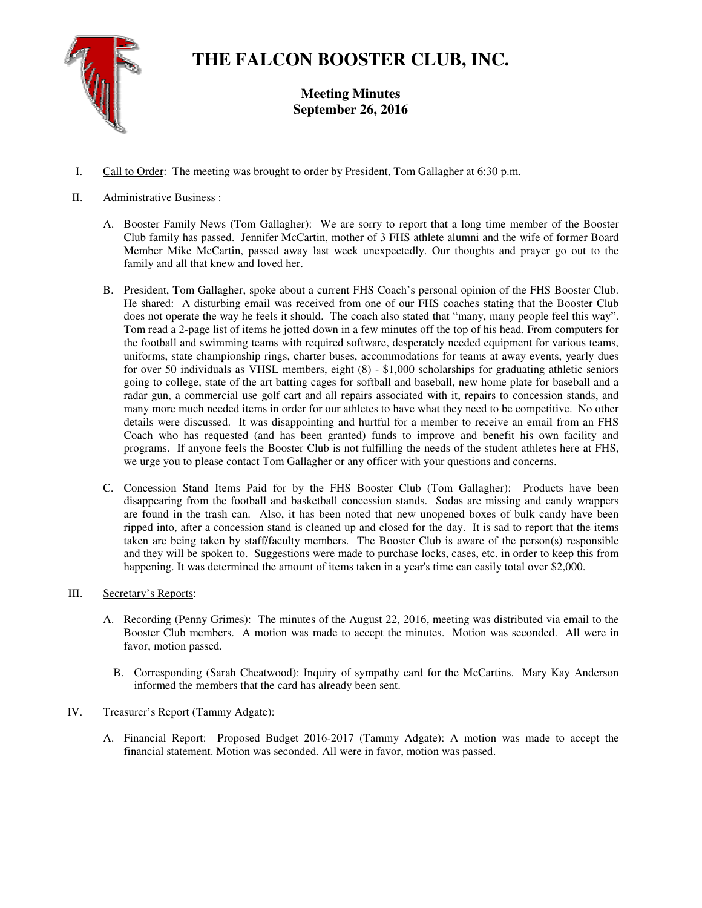

# **THE FALCON BOOSTER CLUB, INC.**

**Meeting Minutes September 26, 2016** 

I. Call to Order: The meeting was brought to order by President, Tom Gallagher at 6:30 p.m.

# II. Administrative Business :

- A. Booster Family News (Tom Gallagher): We are sorry to report that a long time member of the Booster Club family has passed. Jennifer McCartin, mother of 3 FHS athlete alumni and the wife of former Board Member Mike McCartin, passed away last week unexpectedly. Our thoughts and prayer go out to the family and all that knew and loved her.
- B. President, Tom Gallagher, spoke about a current FHS Coach's personal opinion of the FHS Booster Club. He shared: A disturbing email was received from one of our FHS coaches stating that the Booster Club does not operate the way he feels it should. The coach also stated that "many, many people feel this way". Tom read a 2-page list of items he jotted down in a few minutes off the top of his head. From computers for the football and swimming teams with required software, desperately needed equipment for various teams, uniforms, state championship rings, charter buses, accommodations for teams at away events, yearly dues for over 50 individuals as VHSL members, eight (8) - \$1,000 scholarships for graduating athletic seniors going to college, state of the art batting cages for softball and baseball, new home plate for baseball and a radar gun, a commercial use golf cart and all repairs associated with it, repairs to concession stands, and many more much needed items in order for our athletes to have what they need to be competitive. No other details were discussed. It was disappointing and hurtful for a member to receive an email from an FHS Coach who has requested (and has been granted) funds to improve and benefit his own facility and programs. If anyone feels the Booster Club is not fulfilling the needs of the student athletes here at FHS, we urge you to please contact Tom Gallagher or any officer with your questions and concerns.
- C. Concession Stand Items Paid for by the FHS Booster Club (Tom Gallagher): Products have been disappearing from the football and basketball concession stands. Sodas are missing and candy wrappers are found in the trash can. Also, it has been noted that new unopened boxes of bulk candy have been ripped into, after a concession stand is cleaned up and closed for the day. It is sad to report that the items taken are being taken by staff/faculty members. The Booster Club is aware of the person(s) responsible and they will be spoken to. Suggestions were made to purchase locks, cases, etc. in order to keep this from happening. It was determined the amount of items taken in a year's time can easily total over \$2,000.

## III. Secretary's Reports:

- A. Recording (Penny Grimes): The minutes of the August 22, 2016, meeting was distributed via email to the Booster Club members. A motion was made to accept the minutes. Motion was seconded. All were in favor, motion passed.
	- B. Corresponding (Sarah Cheatwood): Inquiry of sympathy card for the McCartins. Mary Kay Anderson informed the members that the card has already been sent.

## IV. Treasurer's Report (Tammy Adgate):

A. Financial Report: Proposed Budget 2016-2017 (Tammy Adgate): A motion was made to accept the financial statement. Motion was seconded. All were in favor, motion was passed.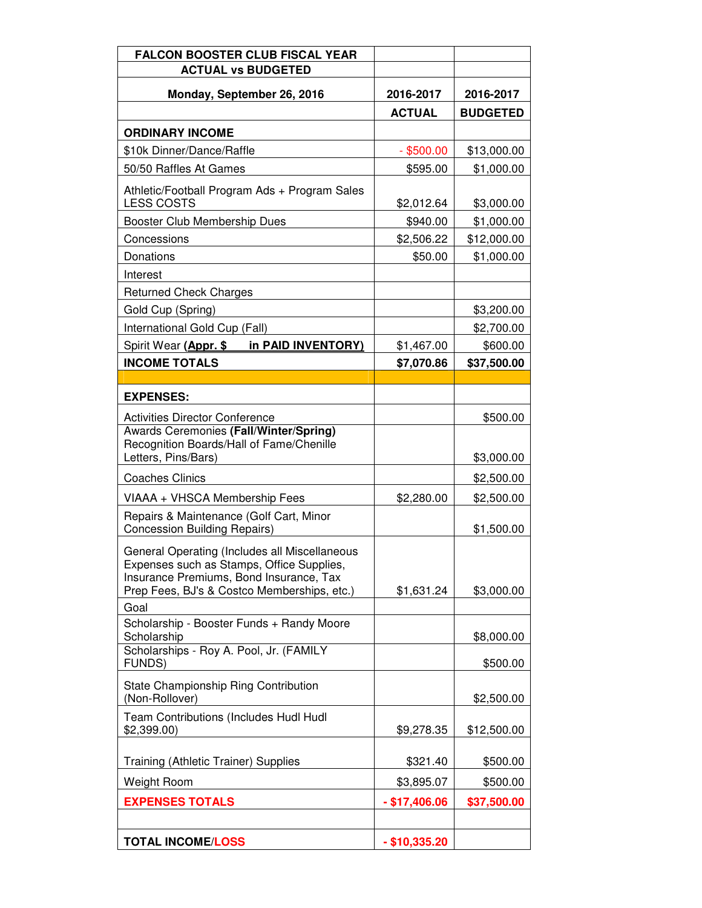| <b>FALCON BOOSTER CLUB FISCAL YEAR</b>                                             |                 |                 |
|------------------------------------------------------------------------------------|-----------------|-----------------|
| <b>ACTUAL vs BUDGETED</b>                                                          |                 |                 |
| Monday, September 26, 2016                                                         | 2016-2017       | 2016-2017       |
|                                                                                    | <b>ACTUAL</b>   | <b>BUDGETED</b> |
| <b>ORDINARY INCOME</b>                                                             |                 |                 |
| \$10k Dinner/Dance/Raffle                                                          | $-$ \$500.00    | \$13,000.00     |
| 50/50 Raffles At Games                                                             | \$595.00        | \$1,000.00      |
| Athletic/Football Program Ads + Program Sales<br><b>LESS COSTS</b>                 | \$2,012.64      | \$3,000.00      |
| Booster Club Membership Dues                                                       | \$940.00        | \$1,000.00      |
| Concessions                                                                        | \$2,506.22      | \$12,000.00     |
| Donations                                                                          | \$50.00         | \$1,000.00      |
| Interest                                                                           |                 |                 |
| <b>Returned Check Charges</b>                                                      |                 |                 |
| Gold Cup (Spring)                                                                  |                 | \$3,200.00      |
| International Gold Cup (Fall)                                                      |                 | \$2,700.00      |
| Spirit Wear (Appr. \$<br>in PAID INVENTORY)                                        | \$1,467.00      | \$600.00        |
| <b>INCOME TOTALS</b>                                                               | \$7,070.86      | \$37,500.00     |
|                                                                                    |                 |                 |
| <b>EXPENSES:</b>                                                                   |                 |                 |
| <b>Activities Director Conference</b>                                              |                 | \$500.00        |
| Awards Ceremonies (Fall/Winter/Spring)<br>Recognition Boards/Hall of Fame/Chenille |                 |                 |
| Letters, Pins/Bars)                                                                |                 | \$3,000.00      |
| <b>Coaches Clinics</b>                                                             |                 | \$2,500.00      |
| VIAAA + VHSCA Membership Fees                                                      | \$2,280.00      | \$2,500.00      |
| Repairs & Maintenance (Golf Cart, Minor<br><b>Concession Building Repairs)</b>     |                 | \$1,500.00      |
| General Operating (Includes all Miscellaneous                                      |                 |                 |
| Expenses such as Stamps, Office Supplies,                                          |                 |                 |
| Insurance Premiums, Bond Insurance, Tax                                            |                 |                 |
| Prep Fees, BJ's & Costco Memberships, etc.)<br>Goal                                | \$1,631.24      | \$3,000.00      |
| Scholarship - Booster Funds + Randy Moore                                          |                 |                 |
| Scholarship                                                                        |                 | \$8,000.00      |
| Scholarships - Roy A. Pool, Jr. (FAMILY                                            |                 |                 |
| <b>FUNDS)</b>                                                                      |                 | \$500.00        |
| State Championship Ring Contribution<br>(Non-Rollover)                             |                 | \$2,500.00      |
| Team Contributions (Includes Hudl Hudl<br>\$2,399.00                               | \$9,278.35      | \$12,500.00     |
|                                                                                    |                 |                 |
| Training (Athletic Trainer) Supplies                                               | \$321.40        | \$500.00        |
| Weight Room                                                                        | \$3,895.07      | \$500.00        |
| <b>EXPENSES TOTALS</b>                                                             | $-$ \$17,406.06 | \$37,500.00     |
|                                                                                    |                 |                 |
| <b>TOTAL INCOME/LOSS</b>                                                           | $-$ \$10,335.20 |                 |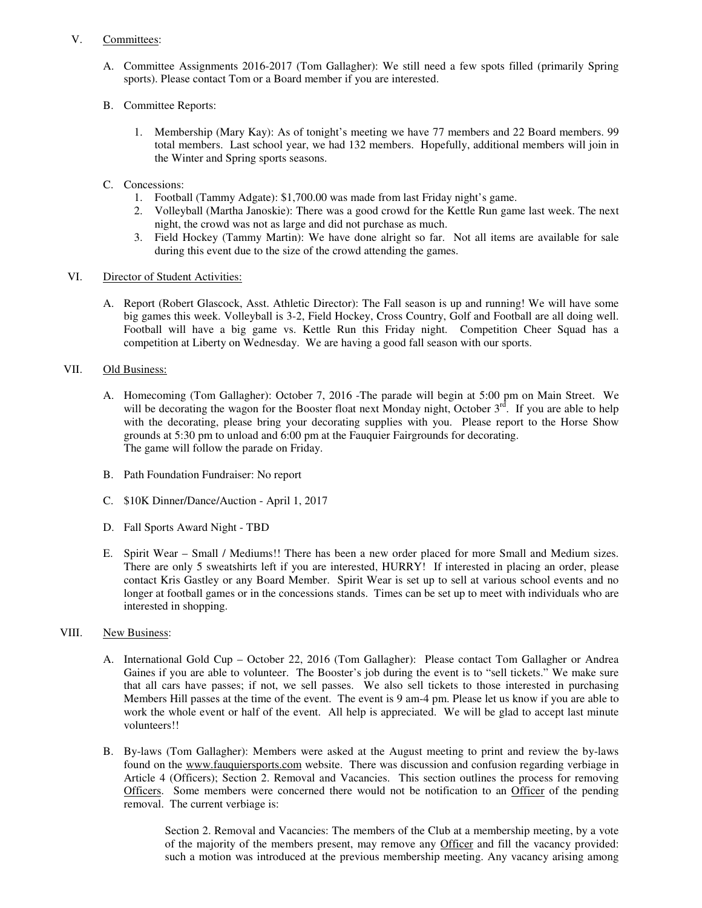#### V. Committees:

- A. Committee Assignments 2016-2017 (Tom Gallagher): We still need a few spots filled (primarily Spring sports). Please contact Tom or a Board member if you are interested.
- B. Committee Reports:
	- 1. Membership (Mary Kay): As of tonight's meeting we have 77 members and 22 Board members. 99 total members. Last school year, we had 132 members. Hopefully, additional members will join in the Winter and Spring sports seasons.
- C. Concessions:
	- 1. Football (Tammy Adgate): \$1,700.00 was made from last Friday night's game.
	- 2. Volleyball (Martha Janoskie): There was a good crowd for the Kettle Run game last week. The next night, the crowd was not as large and did not purchase as much.
	- 3. Field Hockey (Tammy Martin): We have done alright so far. Not all items are available for sale during this event due to the size of the crowd attending the games.

## VI. Director of Student Activities:

A. Report (Robert Glascock, Asst. Athletic Director): The Fall season is up and running! We will have some big games this week. Volleyball is 3-2, Field Hockey, Cross Country, Golf and Football are all doing well. Football will have a big game vs. Kettle Run this Friday night. Competition Cheer Squad has a competition at Liberty on Wednesday. We are having a good fall season with our sports.

# VII. Old Business:

- A. Homecoming (Tom Gallagher): October 7, 2016 -The parade will begin at 5:00 pm on Main Street. We will be decorating the wagon for the Booster float next Monday night, October  $3<sup>rd</sup>$ . If you are able to help with the decorating, please bring your decorating supplies with you. Please report to the Horse Show grounds at 5:30 pm to unload and 6:00 pm at the Fauquier Fairgrounds for decorating. The game will follow the parade on Friday.
- B. Path Foundation Fundraiser: No report
- C. \$10K Dinner/Dance/Auction April 1, 2017
- D. Fall Sports Award Night TBD
- E. Spirit Wear Small / Mediums!! There has been a new order placed for more Small and Medium sizes. There are only 5 sweatshirts left if you are interested, HURRY! If interested in placing an order, please contact Kris Gastley or any Board Member. Spirit Wear is set up to sell at various school events and no longer at football games or in the concessions stands. Times can be set up to meet with individuals who are interested in shopping.
- VIII. New Business:
	- A. International Gold Cup October 22, 2016 (Tom Gallagher): Please contact Tom Gallagher or Andrea Gaines if you are able to volunteer. The Booster's job during the event is to "sell tickets." We make sure that all cars have passes; if not, we sell passes. We also sell tickets to those interested in purchasing Members Hill passes at the time of the event. The event is 9 am-4 pm. Please let us know if you are able to work the whole event or half of the event. All help is appreciated. We will be glad to accept last minute volunteers!!
	- B. By-laws (Tom Gallagher): Members were asked at the August meeting to print and review the by-laws found on the www.fauquiersports.com website. There was discussion and confusion regarding verbiage in Article 4 (Officers); Section 2. Removal and Vacancies. This section outlines the process for removing Officers. Some members were concerned there would not be notification to an Officer of the pending removal. The current verbiage is:

Section 2. Removal and Vacancies: The members of the Club at a membership meeting, by a vote of the majority of the members present, may remove any Officer and fill the vacancy provided: such a motion was introduced at the previous membership meeting. Any vacancy arising among